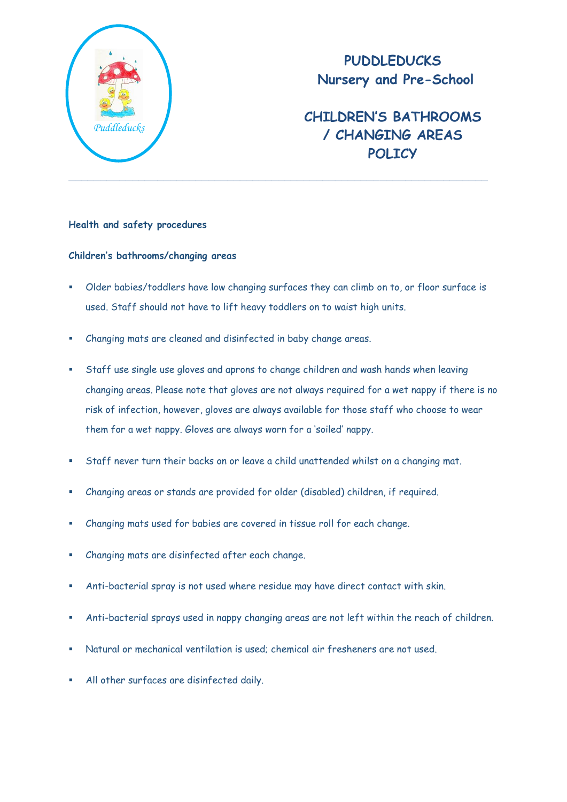

## **PUDDLEDUCKS Nursery and Pre-School**

# **CHILDREN'S BATHROOMS / CHANGING AREAS POLICY**

### **Health and safety procedures**

### **Children's bathrooms/changing areas**

- Older babies/toddlers have low changing surfaces they can climb on to, or floor surface is used. Staff should not have to lift heavy toddlers on to waist high units.
- Changing mats are cleaned and disinfected in baby change areas.
- Staff use single use gloves and aprons to change children and wash hands when leaving changing areas. Please note that gloves are not always required for a wet nappy if there is no risk of infection, however, gloves are always available for those staff who choose to wear them for a wet nappy. Gloves are always worn for a 'soiled' nappy.
- Staff never turn their backs on or leave a child unattended whilst on a changing mat.
- Changing areas or stands are provided for older (disabled) children, if required.
- Changing mats used for babies are covered in tissue roll for each change.
- Changing mats are disinfected after each change.
- Anti-bacterial spray is not used where residue may have direct contact with skin.
- Anti-bacterial sprays used in nappy changing areas are not left within the reach of children.
- Natural or mechanical ventilation is used; chemical air fresheners are not used.
- All other surfaces are disinfected daily.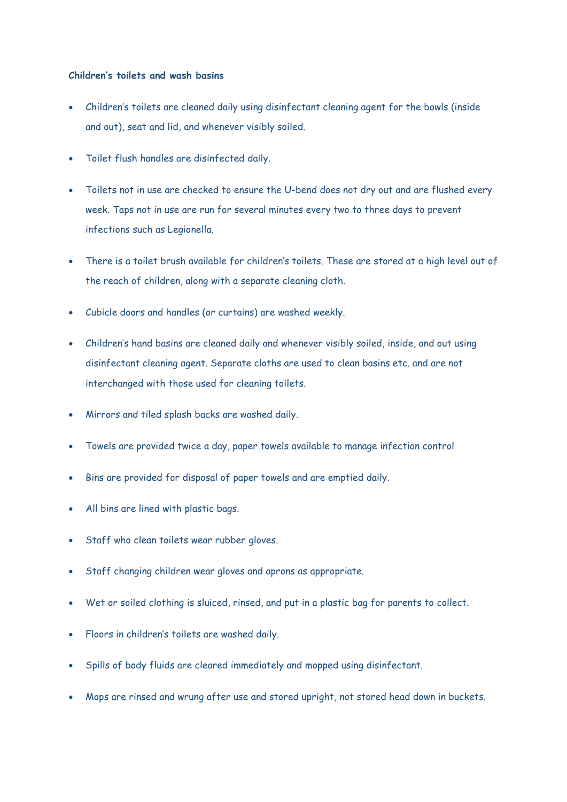#### **Children's toilets and wash basins**

- Children's toilets are cleaned daily using disinfectant cleaning agent for the bowls (inside and out), seat and lid, and whenever visibly soiled.
- Toilet flush handles are disinfected daily.
- Toilets not in use are checked to ensure the U-bend does not dry out and are flushed every week. Taps not in use are run for several minutes every two to three days to prevent infections such as Legionella.
- There is a toilet brush available for children's toilets. These are stored at a high level out of the reach of children, along with a separate cleaning cloth.
- Cubicle doors and handles (or curtains) are washed weekly.
- Children's hand basins are cleaned daily and whenever visibly soiled, inside, and out using disinfectant cleaning agent. Separate cloths are used to clean basins etc. and are not interchanged with those used for cleaning toilets.
- Mirrors and tiled splash backs are washed daily.
- Towels are provided twice a day, paper towels available to manage infection control
- Bins are provided for disposal of paper towels and are emptied daily.
- All bins are lined with plastic bags.
- Staff who clean toilets wear rubber gloves.
- Staff changing children wear gloves and aprons as appropriate.
- Wet or soiled clothing is sluiced, rinsed, and put in a plastic bag for parents to collect.
- Floors in children's toilets are washed daily.
- Spills of body fluids are cleared immediately and mopped using disinfectant.
- Mops are rinsed and wrung after use and stored upright, not stored head down in buckets.